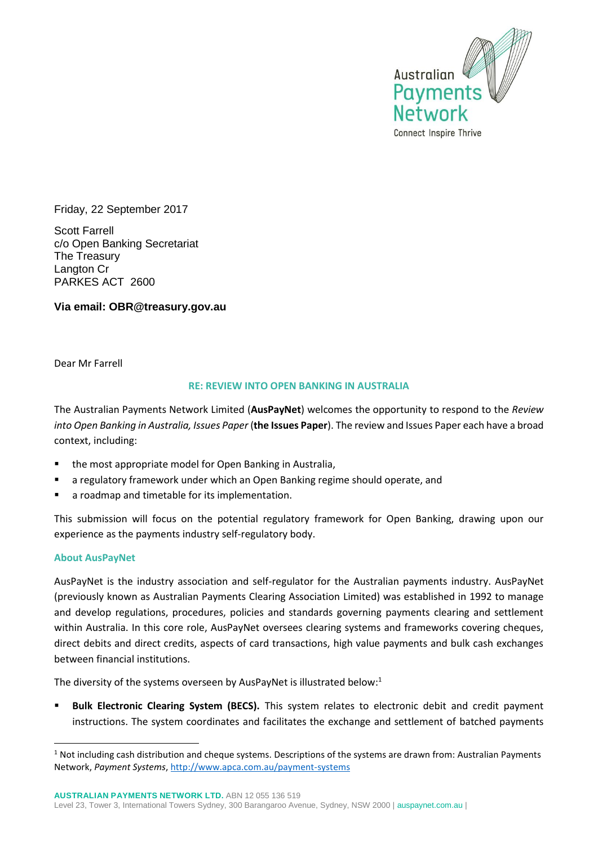

Friday, 22 September 2017

Scott Farrell c/o Open Banking Secretariat The Treasury Langton Cr PARKES ACT 2600

**Via email: OBR@treasury.gov.au**

Dear Mr Farrell

## **RE: REVIEW INTO OPEN BANKING IN AUSTRALIA**

The Australian Payments Network Limited (**AusPayNet**) welcomes the opportunity to respond to the *Review into Open Banking in Australia, Issues Paper* (**the Issues Paper**). The review and Issues Paper each have a broad context, including:

- the most appropriate model for Open Banking in Australia,
- a regulatory framework under which an Open Banking regime should operate, and
- a roadmap and timetable for its implementation.

This submission will focus on the potential regulatory framework for Open Banking, drawing upon our experience as the payments industry self-regulatory body.

### **About AusPayNet**

-

AusPayNet is the industry association and self-regulator for the Australian payments industry. AusPayNet (previously known as Australian Payments Clearing Association Limited) was established in 1992 to manage and develop regulations, procedures, policies and standards governing payments clearing and settlement within Australia. In this core role, AusPayNet oversees clearing systems and frameworks covering cheques, direct debits and direct credits, aspects of card transactions, high value payments and bulk cash exchanges between financial institutions.

The diversity of the systems overseen by AusPayNet is illustrated below:<sup>1</sup>

**Bulk Electronic Clearing System (BECS).** This system relates to electronic debit and credit payment instructions. The system coordinates and facilitates the exchange and settlement of batched payments

 $1$  Not including cash distribution and cheque systems. Descriptions of the systems are drawn from: Australian Payments Network, *Payment Systems*,<http://www.apca.com.au/payment-systems>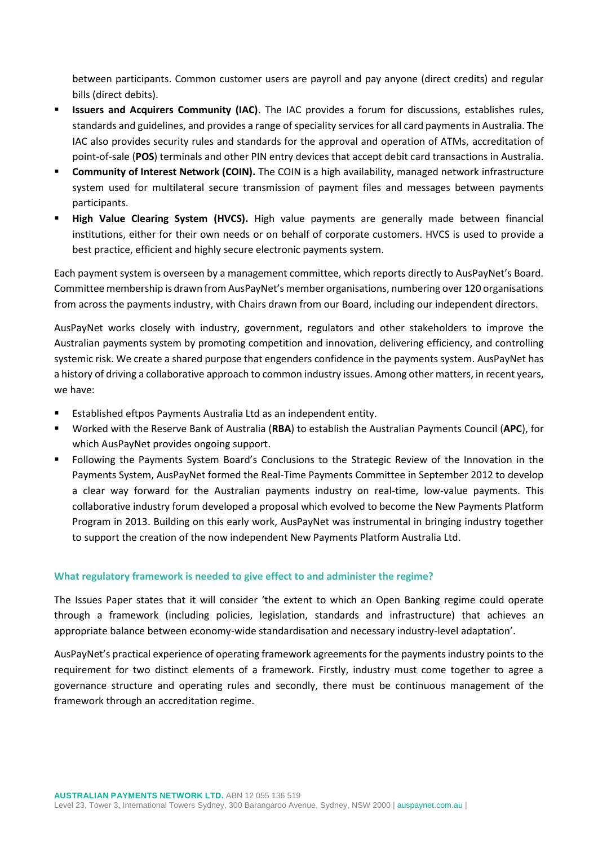between participants. Common customer users are payroll and pay anyone (direct credits) and regular bills (direct debits).

- **E Issuers and Acquirers Community (IAC)**. The IAC provides a forum for discussions, establishes rules, standards and guidelines, and provides a range of speciality services for all card payments in Australia. The IAC also provides security rules and standards for the approval and operation of ATMs, accreditation of point-of-sale (**POS**) terminals and other PIN entry devices that accept debit card transactions in Australia.
- **Community of Interest Network (COIN).** The COIN is a high availability, managed network infrastructure system used for multilateral secure transmission of payment files and messages between payments participants.
- **High Value Clearing System (HVCS).** High value payments are generally made between financial institutions, either for their own needs or on behalf of corporate customers. HVCS is used to provide a best practice, efficient and highly secure electronic payments system.

Each payment system is overseen by a management committee, which reports directly to AusPayNet's Board. Committee membership is drawn from AusPayNet's member organisations, numbering over 120 organisations from across the payments industry, with Chairs drawn from our Board, including our independent directors.

AusPayNet works closely with industry, government, regulators and other stakeholders to improve the Australian payments system by promoting competition and innovation, delivering efficiency, and controlling systemic risk. We create a shared purpose that engenders confidence in the payments system. AusPayNet has a history of driving a collaborative approach to common industry issues. Among other matters, in recent years, we have:

- Established eftpos Payments Australia Ltd as an independent entity.
- Worked with the Reserve Bank of Australia (**RBA**) to establish the Australian Payments Council (**APC**), for which AusPayNet provides ongoing support.
- Following the Payments System Board's Conclusions to the Strategic Review of the Innovation in the Payments System, AusPayNet formed the Real-Time Payments Committee in September 2012 to develop a clear way forward for the Australian payments industry on real-time, low-value payments. This collaborative industry forum developed a proposal which evolved to become the New Payments Platform Program in 2013. Building on this early work, AusPayNet was instrumental in bringing industry together to support the creation of the now independent New Payments Platform Australia Ltd.

### **What regulatory framework is needed to give effect to and administer the regime?**

The Issues Paper states that it will consider 'the extent to which an Open Banking regime could operate through a framework (including policies, legislation, standards and infrastructure) that achieves an appropriate balance between economy-wide standardisation and necessary industry-level adaptation'.

AusPayNet's practical experience of operating framework agreements for the payments industry points to the requirement for two distinct elements of a framework. Firstly, industry must come together to agree a governance structure and operating rules and secondly, there must be continuous management of the framework through an accreditation regime.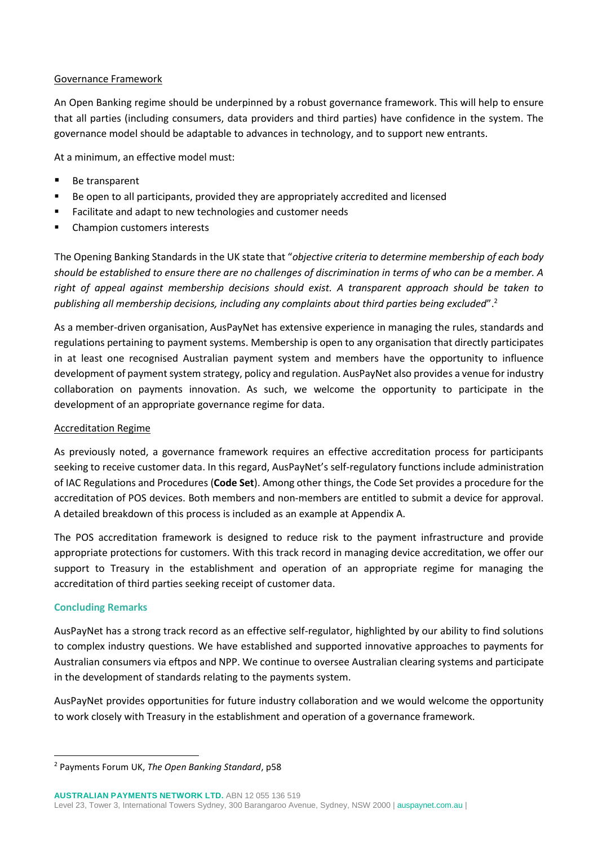## Governance Framework

An Open Banking regime should be underpinned by a robust governance framework. This will help to ensure that all parties (including consumers, data providers and third parties) have confidence in the system. The governance model should be adaptable to advances in technology, and to support new entrants.

At a minimum, an effective model must:

- Be transparent
- Be open to all participants, provided they are appropriately accredited and licensed
- Facilitate and adapt to new technologies and customer needs
- Champion customers interests

The Opening Banking Standards in the UK state that "*objective criteria to determine membership of each body should be established to ensure there are no challenges of discrimination in terms of who can be a member. A right of appeal against membership decisions should exist. A transparent approach should be taken to publishing all membership decisions, including any complaints about third parties being excluded*". 2

As a member-driven organisation, AusPayNet has extensive experience in managing the rules, standards and regulations pertaining to payment systems. Membership is open to any organisation that directly participates in at least one recognised Australian payment system and members have the opportunity to influence development of payment system strategy, policy and regulation. AusPayNet also provides a venue for industry collaboration on payments innovation. As such, we welcome the opportunity to participate in the development of an appropriate governance regime for data.

# Accreditation Regime

As previously noted, a governance framework requires an effective accreditation process for participants seeking to receive customer data. In this regard, AusPayNet's self-regulatory functions include administration of IAC Regulations and Procedures (**Code Set**). Among other things, the Code Set provides a procedure for the accreditation of POS devices. Both members and non-members are entitled to submit a device for approval. A detailed breakdown of this process is included as an example at Appendix A.

The POS accreditation framework is designed to reduce risk to the payment infrastructure and provide appropriate protections for customers. With this track record in managing device accreditation, we offer our support to Treasury in the establishment and operation of an appropriate regime for managing the accreditation of third parties seeking receipt of customer data.

# **Concluding Remarks**

-

AusPayNet has a strong track record as an effective self-regulator, highlighted by our ability to find solutions to complex industry questions. We have established and supported innovative approaches to payments for Australian consumers via eftpos and NPP. We continue to oversee Australian clearing systems and participate in the development of standards relating to the payments system.

AusPayNet provides opportunities for future industry collaboration and we would welcome the opportunity to work closely with Treasury in the establishment and operation of a governance framework.

<sup>2</sup> Payments Forum UK, *The Open Banking Standard*, p58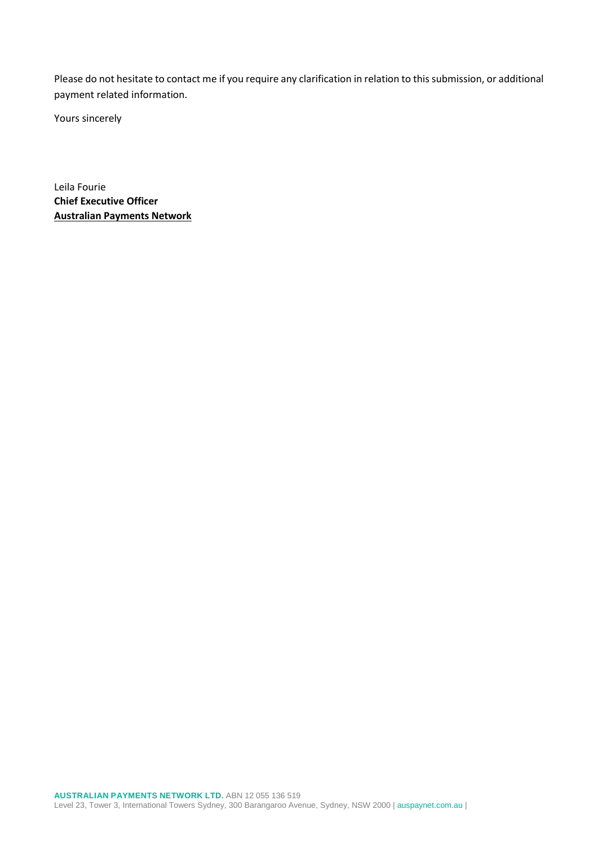Please do not hesitate to contact me if you require any clarification in relation to this submission, or additional payment related information.

Yours sincerely

Leila Fourie **Chief Executive Officer Australian Payments Network**